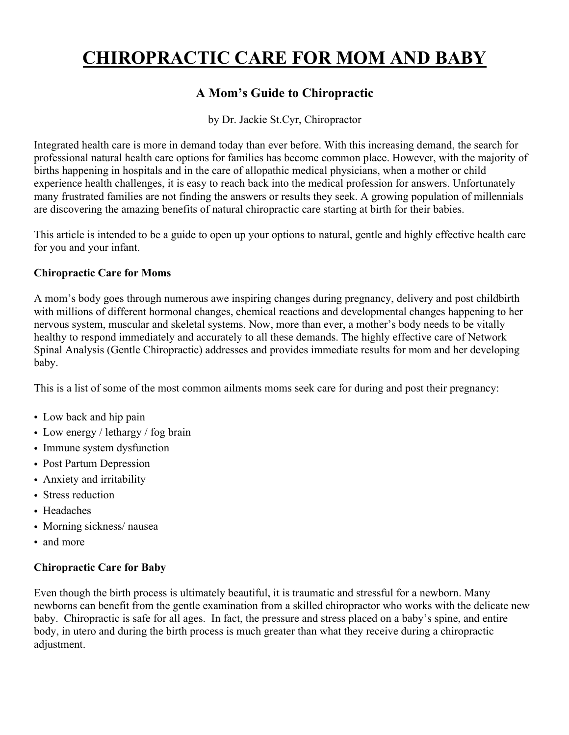# **CHIROPRACTIC CARE FOR MOM AND BABY**

# **A Mom's Guide to Chiropractic**

by Dr. Jackie St.Cyr, Chiropractor

Integrated health care is more in demand today than ever before. With this increasing demand, the search for professional natural health care options for families has become common place. However, with the majority of births happening in hospitals and in the care of allopathic medical physicians, when a mother or child experience health challenges, it is easy to reach back into the medical profession for answers. Unfortunately many frustrated families are not finding the answers or results they seek. A growing population of millennials are discovering the amazing benefits of natural chiropractic care starting at birth for their babies.

This article is intended to be a guide to open up your options to natural, gentle and highly effective health care for you and your infant.

## **Chiropractic Care for Moms**

A mom's body goes through numerous awe inspiring changes during pregnancy, delivery and post childbirth with millions of different hormonal changes, chemical reactions and developmental changes happening to her nervous system, muscular and skeletal systems. Now, more than ever, a mother's body needs to be vitally healthy to respond immediately and accurately to all these demands. The highly effective care of Network Spinal Analysis (Gentle Chiropractic) addresses and provides immediate results for mom and her developing baby.

This is a list of some of the most common ailments moms seek care for during and post their pregnancy:

- Low back and hip pain
- Low energy / lethargy / fog brain
- Immune system dysfunction
- Post Partum Depression
- Anxiety and irritability
- Stress reduction
- Headaches
- Morning sickness/ nausea
- and more

#### **Chiropractic Care for Baby**

Even though the birth process is ultimately beautiful, it is traumatic and stressful for a newborn. Many newborns can benefit from the gentle examination from a skilled chiropractor who works with the delicate new baby. Chiropractic is safe for all ages. In fact, the pressure and stress placed on a baby's spine, and entire body, in utero and during the birth process is much greater than what they receive during a chiropractic adjustment.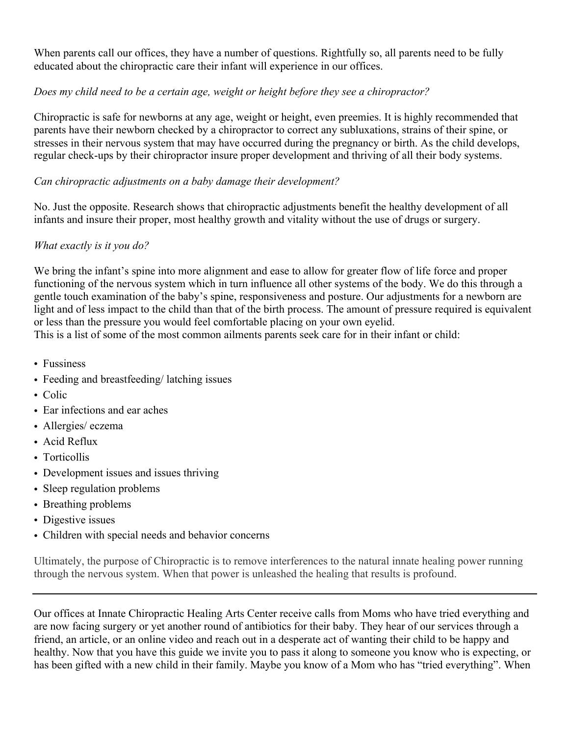When parents call our offices, they have a number of questions. Rightfully so, all parents need to be fully educated about the chiropractic care their infant will experience in our offices.

# *Does my child need to be a certain age, weight or height before they see a chiropractor?*

Chiropractic is safe for newborns at any age, weight or height, even preemies. It is highly recommended that parents have their newborn checked by a chiropractor to correct any subluxations, strains of their spine, or stresses in their nervous system that may have occurred during the pregnancy or birth. As the child develops, regular check-ups by their chiropractor insure proper development and thriving of all their body systems.

# *Can chiropractic adjustments on a baby damage their development?*

No. Just the opposite. Research shows that chiropractic adjustments benefit the healthy development of all infants and insure their proper, most healthy growth and vitality without the use of drugs or surgery.

## *What exactly is it you do?*

We bring the infant's spine into more alignment and ease to allow for greater flow of life force and proper functioning of the nervous system which in turn influence all other systems of the body. We do this through a gentle touch examination of the baby's spine, responsiveness and posture. Our adjustments for a newborn are light and of less impact to the child than that of the birth process. The amount of pressure required is equivalent or less than the pressure you would feel comfortable placing on your own eyelid.

This is a list of some of the most common ailments parents seek care for in their infant or child:

- Fussiness
- Feeding and breastfeeding/latching issues
- Colic
- Ear infections and ear aches
- Allergies/ eczema
- Acid Reflux
- Torticollis
- Development issues and issues thriving
- Sleep regulation problems
- Breathing problems
- Digestive issues
- Children with special needs and behavior concerns

Ultimately, the purpose of Chiropractic is to remove interferences to the natural innate healing power running through the nervous system. When that power is unleashed the healing that results is profound.

Our offices at Innate Chiropractic Healing Arts Center receive calls from Moms who have tried everything and are now facing surgery or yet another round of antibiotics for their baby. They hear of our services through a friend, an article, or an online video and reach out in a desperate act of wanting their child to be happy and healthy. Now that you have this guide we invite you to pass it along to someone you know who is expecting, or has been gifted with a new child in their family. Maybe you know of a Mom who has "tried everything". When